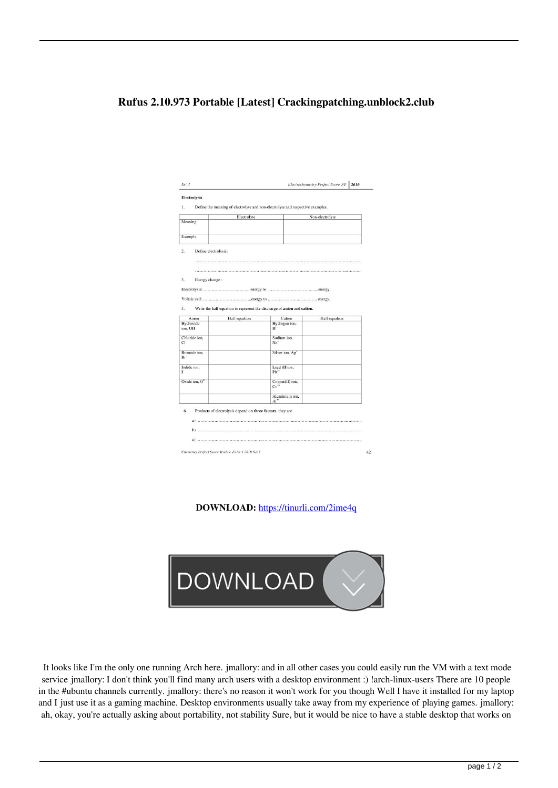## **Rufus 2.10.973 Portable [Latest] Crackingpatching.unblock2.club**

|                                                                       | Electrolyte                                                |                                                                         | Non-electrolyte |
|-----------------------------------------------------------------------|------------------------------------------------------------|-------------------------------------------------------------------------|-----------------|
| Meaning                                                               |                                                            |                                                                         |                 |
| Example                                                               |                                                            |                                                                         |                 |
| $\overline{2}$ .<br>Define electrolysis:                              |                                                            |                                                                         |                 |
|                                                                       |                                                            |                                                                         |                 |
|                                                                       |                                                            |                                                                         |                 |
| 3.<br>Energy change:                                                  |                                                            |                                                                         |                 |
|                                                                       |                                                            |                                                                         |                 |
|                                                                       |                                                            |                                                                         |                 |
|                                                                       |                                                            |                                                                         |                 |
|                                                                       |                                                            |                                                                         |                 |
|                                                                       |                                                            | Write the half equation to represent the discharge of anion and cation. |                 |
| 4.<br>Anion<br>Hydroxide                                              | Half equation                                              | Cation<br>Hydrogen ion,                                                 | Half equation   |
|                                                                       |                                                            | $H^*$                                                                   |                 |
| ion, OH<br>Chloride ion.<br>CI                                        |                                                            | Sodium ion.<br>Na <sup>+</sup>                                          |                 |
|                                                                       |                                                            | Silver ion, Ag <sup>+</sup>                                             |                 |
|                                                                       |                                                            | Lead (II)ion.<br>$Ph2+$                                                 |                 |
|                                                                       |                                                            | Copper(II) ion,<br>$Cu2+$                                               |                 |
| Bromide ion.<br>Br <sup></sup><br>Iodide ion.<br>r<br>Oxide ion, $O2$ |                                                            | Aluminium ion,<br>$Al^{3+}$                                             |                 |
| 6.                                                                    | Products of electrolysis depend on three factors, they are |                                                                         |                 |

**DOWNLOAD:** <https://tinurli.com/2ime4q>



 It looks like I'm the only one running Arch here. jmallory: and in all other cases you could easily run the VM with a text mode service jmallory: I don't think you'll find many arch users with a desktop environment :) !arch-linux-users There are 10 people in the #ubuntu channels currently. jmallory: there's no reason it won't work for you though Well I have it installed for my laptop and I just use it as a gaming machine. Desktop environments usually take away from my experience of playing games. jmallory: ah, okay, you're actually asking about portability, not stability Sure, but it would be nice to have a stable desktop that works on